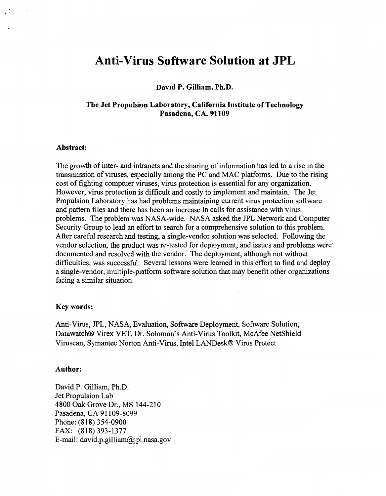# **Anti-Virus Software Solution at JPL**

#### **David P. Gilliam, Ph.D.**

#### **The Jet Propulsion Laboratory, California Institute of Technology Pasadena, CA. 91109**

#### **Abstract:**

The growth of inter- and intranets and the sharing of information has led to a rise in the transmission of viruses, especially among the PC and MAC platforms. Due to the rising cost of fighting comptuer viruses, virus protection is essential for any organization. However, virus protection is difficult and costly to implement and maintain. The Jet Propulsion Laboratory has had problems maintaining current virus protection software and pattern files and there has been an increase in calls for assistance with virus problems. The problem was NASA-wide. NASA asked the JPL Network and Computer Security Group to lead an effort to search for a comprehensive solution to this problem. After careful research and testing, a single-vendor solution was selected. Following the vendor selection, the product was re-tested for deployment, and issues and problems were' documented and resolved with the vendor. The deployment, although not without difficulties, was successful. Several lessons were learned in this effort to find and deploy a single-vendor, multiple-platform software solution that may benefit other organizations facing a similar situation.

#### **Key words:**

Anti-Virus, JPL, NASA, Evaluation, Software Deployment, Software Solution, Datawatch03 Virex VET, Dr. Solomon's Anti-Virus Toolkit, McAfee Netshield Viruscan, Symantec Norton Anti-Virus, Intel LANDesk® Virus Protect

#### **Author:**

David P. Gilliam, Ph.D. Jet Propulsion Lab 4800 *Oak* Grove Dr., **MS** 144-21 0 Pasadena, CA 91 109-8099 Phone: **(8** 18) 354-0900 E-mail: [david.p.gilliam@jpl.nasa.gov](mailto:david.p.gilliam@jpl.nasa.gov) FAX: (818) 393-1377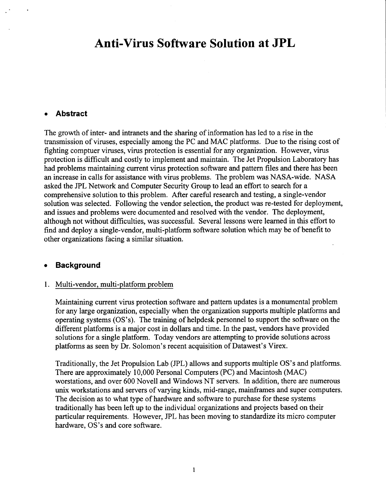# **Anti-Virus Software Solution at JPL**

### **Abstract**

The growth of inter- and intranets and the sharing of information has led to a rise in the transmission of viruses, especially among the PC and MAC platforms. Due to the rising cost of fighting comptuer viruses, virus protection is essential for any organization. However, virus protection is difficult and costly to implement and maintain. The Jet Propulsion Laboratory has had problems maintaining current virus protection software and pattern files and there has been an increase in calls for assistance with virus problems. The problem was NASA-wide. NASA asked the JPL Network and Computer Security Group to lead an effort to search for a comprehensive solution to this problem. After careful research and testing, a single-vendor solution was selected. Following the vendor selection, the product was re-tested for deployment, and issues and problems were documented and resolved with the vendor. The deployment, although not without difficulties, was successful. Several lessons were learned in this effort to find and deploy a single-vendor, multi-platform software solution which may be of benefit to other organizations facing a similar situation.

#### **Background**

#### 1. Multi-vendor, multi-platform problem

Maintaining current virus protection software and pattern updates is a monumental problem for any large organization, especially when the organization supports multiple platforms and operating systems (Os's). The training of helpdesk personnel to support the software on the different platforms is a major cost in dollars and time. In the past, vendors have provided solutions for a single platform. Today vendors are attempting to provide solutions across platforms as seen by Dr. Solomon's recent acquisition of Datawest's Virex.

Traditionally, the Jet Propulsion Lab (JPL) allows and supports multiple *OS'S* and platforms. There are approximately 10,000 Personal Computers (PC) and Macintosh (MAC) worstations, and over 600 Novel1 and Windows NT servers. In addition, there are numerous unix workstations and servers of varying kinds, mid-range, mainframes and super computers. The decision as to what type of hardware and software to purchase for these systems traditionally has been left up to the individual organizations and projects based on their particular requirements. However, JPL has been moving to standardize its micro computer hardware, *OS'S* and core software.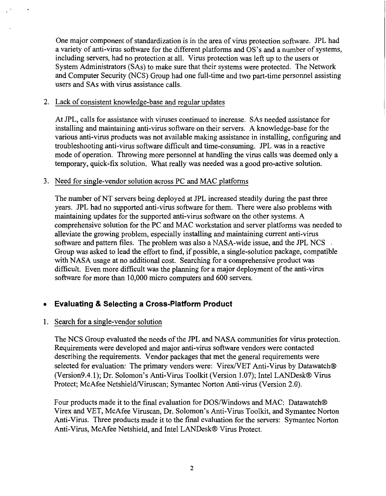One major component of standardization is in the area of virus protection software. JPL had a variety of anti-virus software for the different platforms and OS'S and a number of systems, including servers, had no protection at all. Virus protection was left up to the users or System Administrators (SAs) to make sure that their systems were protected. The Network and Computer Security (NCS) Group had one full-time and two part-time personnel assisting users and SAs with virus assistance calls.

#### 2. Lack of consistent knowledge-base and regular updates

At JPL, calls for assistance with viruses continued to increase, SAs needed assistance for installing and maintaining anti-virus software on their servers. A knowledge-base for the various anti-virus products was not available making assistance in installing, configuring and troubleshooting anti-virus software difficult and time-consuming. JPL was in a reactive mode of operation. Throwing more personnel at handling the virus calls was deemed only a temporary, quick-fix solution. What really was needed was a good pro-active solution.

#### **3.** Need for single-vendor solution across PC and MAC platforms

The number of NT servers being deployed at JPL increased steadily during the past three years. JPL had no supported anti-virus software for them. There were also problems with maintaining updates for the supported anti-virus software on the other systems. A comprehensive solution for the PC and MAC workstation and server platforms was needed to alleviate the growing problem, especially installing and maintaining current anti-virus software and pattern files. The problem was also a NASA-wide issue, and the JPL NCS . Group was asked to lead the effort to find, if possible, a single-solution package, compatible with NASA usage at no additional cost. Searching for a comprehensive product was difficult. Even more difficult was the planning for a major deployment of the anti-virus software for more than 10,000 micro computers and 600 servers.

## *0* **Evaluating** & **Selecting a Cross-Platform Product**

#### 1. Search for a single-vendor solution

The NCS Group evaluated the needs of the JPL and NASA communities for virus protection. Requirements were developed and major anti-virus software vendors were contacted describing the requirements. Vendor packages that met the general requirements were selected for evaluation: The primary vendors were: Virex/VET Anti-Virus by Datawatch® (Version9.4.1); Dr. Solomon's Anti-Virus Toolkit (Version 1.07); Intel LANDesk® Virus Protect; McAfee Netshield/Viruscan; Symantec Norton Anti-virus (Version 2.0).

Four products made it to the final evaluation for DOS/Windows and MAC: Datawatch® Virex and VET, McAfee Viruscan, Dr. Solomon's Anti-Virus Toolkit, and Symantec Norton Anti-Virus. Three products made it to the final evaluation for the servers: Symantec Norton Anti-Virus, McAfee Netshield, and Intel LANDesk® Virus Protect.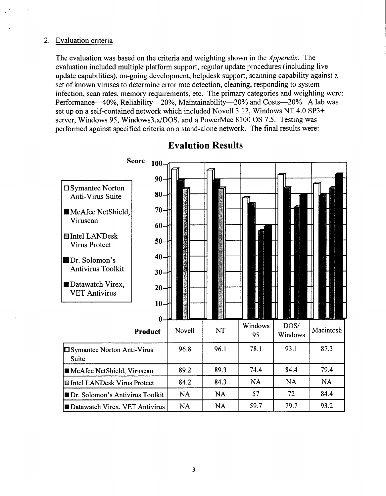#### 2. Evaluation criteria

The evaluation was based on the criteria and weighting shown in the *Appendix.* The evaluation included multiple platform support, regular update procedures (including live update capabilities), on-going development, helpdesk support, scanning capability against a set of known viruses to determine error rate detection, cleaning, responding to system infection, scan rates, memory requirements, etc. The primary categories and weighting were: Performance-40%, Reliability-20%, Maintainability-20% and Costs-20%. **A** lab was set up on **a** self-contained network which included Novel1 3.12, Windows NT 4.0 SP3+ server, Windows 95, Windows3.x/DOS, and a PowerMac **8** 100 OS 7.5. Testing was performed against specified criteria on a stand-alone network. The final results were:



# **Evalution Results**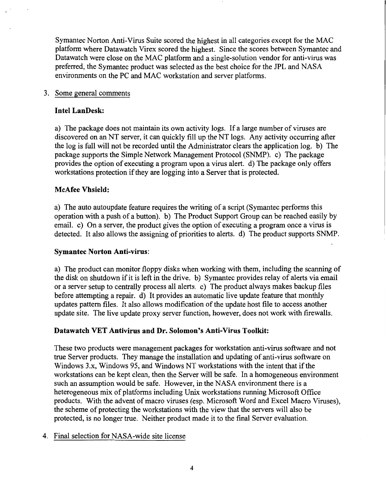Symantec Norton Anti-Virus Suite scored the highest in all categories except for the MAC platform where Datawatch Virex scored the highest. Since the scores between Symantec and Datawatch were close on the MAC platform and a single-solution vendor for anti-virus was preferred, the Symantec product was selected as the best choice for the JPL and NASA environments on the PC and MAC workstation and server platforms.

#### 3. Some general comments

#### **Intel LanDesk:**

a) The package does not maintain its own activity logs. If a large number of viruses are discovered on an NT server, it can quickly fill up the NT logs. Any activity occurring after the log is full will not be recorded until the Administrator clears the application log. b) The package supports the Simple Network Management Protocol (SNMP). c) The package provides the option of executing a program upon a virus alert. d) The package only offers workstations protection if they are logging into a Server that is protected.

#### **McAfee Vhsield:**

a) The auto autoupdate feature requires the writing of a script (Symantec performs this operation with a push of a button). b) The Product Support Group can be reached easily by email. c) On a server, the product gives the option of executing a program once a virus is detected. It also allows the assigning of priorities to alerts. d) The product supports SNMP.

#### **Symantec Norton Anti-virus:**

a) The product can monitor floppy disks when working with them, including the scanning of the disk on shutdown if it is left in the drive. b) Symantec provides relay of alerts via email or a server setup to centrally process all alerts. c) The product always makes backup files before attempting a repair. d) It provides an automatic live update feature that monthly updates pattern files. It also allows modification of the update host file to access another update site. The live update proxy server function, however, does not work with firewalls.

#### **Datawatch VET Antivirus and Dr. Solomon's Anti-Virus Toolkit:**

These two products were management packages for workstation anti-virus software and not true Server products. They manage the installation and updating of anti-virus software on Windows 3.x, Windows 95, and Windows NT workstations with the intent that if the workstations can be kept clean, then the Server will be safe. In a homogeneous environment such an assumption would be safe. However, in the NASA environment there is a heterogeneous mix of platforms including Unix workstations running Microsoft Office products. With the advent of macro viruses (esp. Microsoft Word and Excel Macro Viruses), the scheme of protecting the workstations with the view that the servers will also be protected, is no longer true. Neither product made it to the final Server evaluation.

#### **4.** Final selection for NASA-wide site license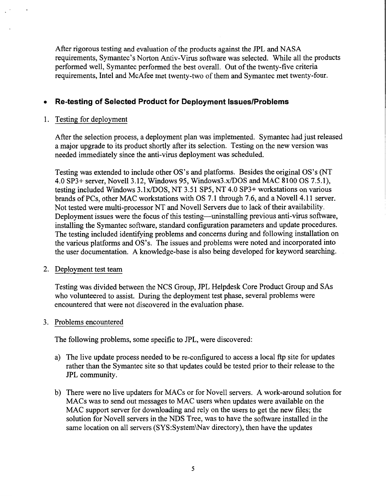After rigorous testing and evaluation of the products against the JPL and NASA requirements, Symantec's Norton Antiv-Virus software was selected. While all the products performed well, Symantec performed the best overall. Out of the twenty-five criteria requirements, Intel and McAfee met twenty-two of them and Symantec met twenty-four.

## *<sup>0</sup>***Re-testing of Selected Product for Deployment Issues/Problems**

#### 1. Testing for deployment

After the selection process, a deployment plan was implemented. Symantec had just released a major upgrade to its product shortly after its selection. Testing on the new version was needed immediately since the anti-virus deployment was scheduled.

Testing was extended to include other OS's and platforms. Besides the original OS's (NT **4.0** SP3+ server, Novell 3.12, Windows 95, Windows3.x/DOS and MAC 8100 OS 7.5.1), testing included Windows  $3.1x/DOS$ , NT  $3.51$  SP5, NT  $4.0$  SP3+ workstations on various brands of PCs, other MAC workstations with OS 7.1 through 7.6, and a Novell 4.1 1 server. Not tested were multi-processor NT and Novell Servers due to lack of their availability. Deployment issues were the focus of this testing—uninstalling previous anti-virus software, installing the Symantec software, standard configuration parameters and update procedures. The testing included identifying problems and concerns during and following installation on the various platforms and OS's. The issues and problems were noted and incorporated into the user documentation. A knowledge-base is also being developed for keyword searching.

#### 2. Deployment test team

Testing was divided between the NCS Group, JPL Helpdesk Core Product Group and SAs who volunteered to assist. During the deployment test phase, several problems were encountered that were not discovered in the evaluation phase.

### 3. Problems encountered

The following problems, some specific to JPL, were discovered:

- a) The live update process needed to be re-configured to access a local ftp site for updates rather than the Symantec site so that updates could be tested prior to their release to the JPL community.
- b) There were no live updaters for MACs or for Novell servers. A work-around solution for MACs was to send out messages to MAC users when updates were available on the MAC support server for downloading and rely on the users to get the new files; the solution for Novell servers in the NDS Tree, was to have the software installed in the same location on all servers (SYS:System\Nav directory), then have the updates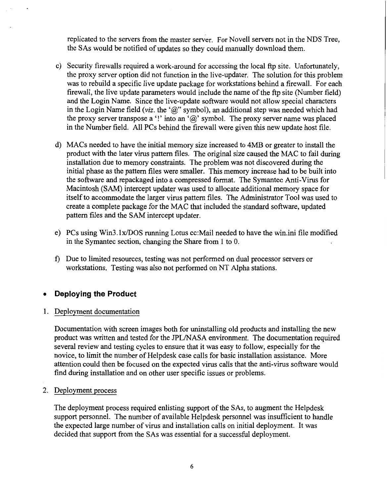replicated to the servers from the master server. For Novel1 servers not in the NDS Tree, the SAs would be notified of updates so they could manually download them.

- c) Security firewalls required a work-around for accessing the local ftp site. Unfortunately, the proxy server option did not function in the live-updater. The solution for this problem was to rebuild a specific live update package for workstations behind a firewall. For each firewall, the live update parameters would include the name of the ftp site (Number field) and the Login Name. Since the live-update software would not allow special characters in the Login Name field *(viz.* the '@' symbol), an additional step was needed which had the proxy server transpose a '!' into an ' $\omega$ ' symbol. The proxy server name was placed in the Number field. All PCs behind the firewall were given this new update host file.
- MACs needed to have the initial memory size increased to 4MB or greater to install the product with the later virus pattern files. The original size caused the MAC to fail during installation due to memory constraints. The problem was not discovered during the initial phase as the pattern files were smaller. This memory increase had to be built into the software and repackaged into a compressed format. The Symantec Anti-Virus for Macintosh (SAM) intercept updater was used to allocate additional memory space for itself to accommodate the larger virus pattern files. The Administrator Tool was used to create a complete package for the MAC that included the standard software, updated pattern files and the SAM intercept updater.
- PCs using Win3.lx/DOS running Lotus cc:Mail needed to have the win.ini file modified in the Symantec section, changing the Share from 1 to 0.
- Due to limited resources, testing was not performed on dual processor servers or workstations. Testing was also not performed on NT Alpha stations.

#### *0*  **Deploying the Product**

# 1. Deployment documentation

Documentation with screen images both for uninstalling old products and installing the new product was written and tested for the JPL/NASA environment. The documentation required several review and testing cycles to ensure that it was easy to follow, especially for the novice, to limit the number of Helpdesk case calls for basic installation assistance. More attention could then be focused on the expected virus calls that the anti-virus software would find during installation and on other user specific issues or problems.

## **2.**  Deployment process

The deployment process required enlisting support of the SAs, to augment the Helpdesk support personnel. The number of available Helpdesk personnel was insufficient to handle the expected large number of virus and installation calls on initial deployment. It was decided that support from the SAs was essential for a successful deployment.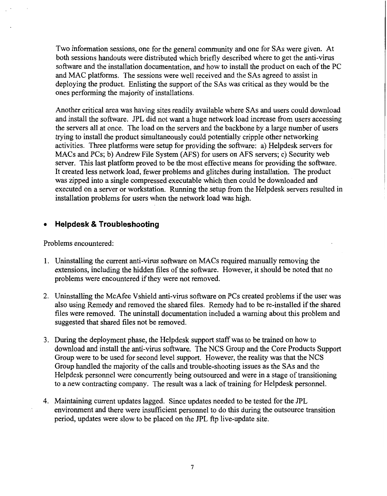Two information sessions, one for the general community and one for SAs were given. At both sessions handouts were distributed which briefly described where to get the anti-virus software and the installation documentation, and how to install the product on each of the PC and MAC platforms. The sessions were well received and the SAs agreed to assist in deploying the product. Enlisting the support of the SAs was critical as they would be the ones performing the majority of installations.

Another critical area was having sites readily available where SAs and users could download and install the software. JPL did not want a huge network load increase from users accessing the servers all at once. The load on the servers and the backbone by a large number of users trying to install the product simultaneously could potentially cripple other networking activities. Three platforms were setup for providing the software: a) Helpdesk servers for MACs and PCs; b) Andrew File System (AFS) for users on AFS servers; c) Security web server. This last platform proved to be the most effective means for providing the software. It created less network load, fewer problems and glitches during installation. The product was zipped into a single compressed executable which then could be downloaded and executed on a server or workstation. Running the setup from the Helpdesk servers resulted in installation problems for users when the network load was high.

### *0* **Helpdesk** & **Troubleshooting**

Problems encountered:

- 1. Uninstalling the current anti-virus software on MACs required manually removing the extensions, including the hidden files of the software. However, it should be noted that no problems were encountered if they were not removed.
- **2.** Uninstalling the McAfee Vshield anti-virus software on PCs created problems if the user was also using Remedy and removed the shared files. Remedy had to be re-installed if the shared files were removed. The uninstall documentation included a warning about this problem and suggested that shared files not be removed.
- **3.** During the deployment phase, the Helpdesk support staff was to be trained on how to download and install the anti-virus software. The NCS Group and the Core Products Support Group were to be used for second level support. However, the reality was that the NCS Group handled the majority of the calls and trouble-shooting issues as the SAs and the Helpdesk personnel were concurrently being outsourced and were in a stage of transitioning to a new contracting company. The result was a lack of training for Helpdesk personnel.
- **4.** Maintaining current updates lagged. Since updates needed to be tested for the JPL environment and there were insufficient personnel to do this during the outsource transition period, updates were slow to be placed on the JPL ftp live-update site.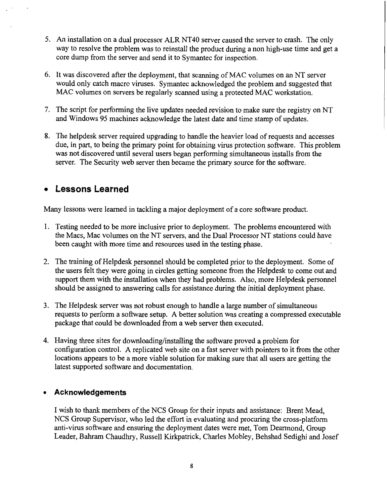- 5. An installation on a dual processor ALR NT40 server caused the server to crash. The only way to resolve the problem was to reinstall the product during a non high-use time and get a core dump from the server and send it to Symantec for inspection.
- *6.*  It was discovered after the deployment, that scanning of MAC volumes on an NT server would only catch macro viruses. Symantec acknowledged the problem and suggested that MAC volumes on servers be regularly scanned using a protected MAC workstation.
- *7.*  The script for performing the live updates needed revision to make sure the registry on NT and Windows 95 machines acknowledge the latest date and time stamp of updates.
- **8.**  The helpdesk server required upgrading to handle the heavier load of requests and accesses due, in part, to being the primary point for obtaining virus protection software. This problem was not discovered until several users began performing simultaneous installs from the server. The Security web server then became the primary source for the software.

#### *0*  **Lessons Learned**

Many lessons were learned in tackling a major deployment of a core software product.

- 1. Testing needed to be more inclusive prior to deployment. The problems encountered with the Macs, Mac volumes on the NT servers, and the Dual Processor NT stations could have been caught with more time and resources used in the testing phase.
- 2. The training of Helpdesk personnel should be completed prior to the deployment. Some of the users felt they were going in circles getting someone fiom the Helpdesk to come out and support them with the installation when they had problems. Also, more Helpdesk personnel should be assigned to answering calls for assistance during the initial deployment phase.
- **3.**  The Helpdesk server was not robust enough to handle a large number of simultaneous requests to perform a software setup. A better solution was creating a compressed executable package that could be downloaded from a web server then executed.
- 1. Having three sites for downloading/installing the software proved a problem for configuration control. A replicated web site on a fast server with pointers to it from the other locations appears to be a more viable solution for making sure that all users are getting the latest supported software and documentation.

#### *e*  **Acknowledgements**

I wish to thank members of the NCS Group for their inputs and assistance: Brent Mead, NCS Group Supervisor, who led the effort in evaluating and procuring the cross-platform anti-virus software and ensuring the deployment dates were met, Tom Dearmond, Group Leader, Bahram Chaudhry, Russell Kirkpatrick, Charles Mobley, Behshad Sedighi and Josef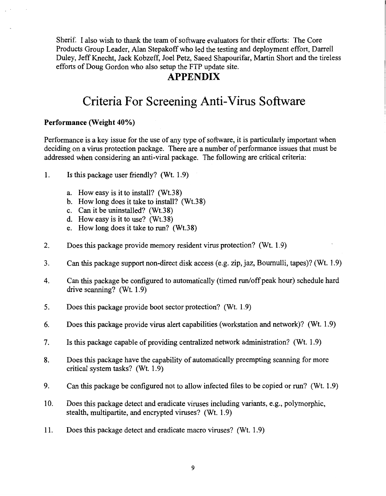Sherif. I also wish to thank the team of software evaluators for their efforts: The Core Products Group Leader, Alan Stepakoff who led the testing and deployment effort, Darrell Duley, Jeff Knecht, Jack Kobzeff, Joel Petz, Saeed Shapourifar, Martin Short and the tireless efforts of Doug Gordon who also setup the FTP update site.

# **APPENDIX**

# Criteria For Screening Anti-Virus Software

#### **Performance (Weight 40%)**

Performance is a key issue for the use of any type of software, it is particularly important when deciding on a virus protection package. There are a number of performance issues that must be addressed when considering an anti-viral package. The following are critical criteria:

- 1. **Is** this package user friendly? (Wt. 1.9)
	- a. How easy is it to install? (Wt.38)
	- b. How long does it take to install? (Wt.38)
	- c. Can it be uninstalled? (Wt.38)
	- d. How easy is it to use? (Wt.38)
	- e. How long does it take to run? (Wt.38)
- 2. Does this package provide memory resident virus protection? (Wt. 1.9)
- 3. Can this package support non-direct disk access (e.g. zip, jaz, Bournulli, tapes)? (Wt. 1.9)
- 4. Can this package be configured to automatically (timed run/off peak hour) schedule hard drive scanning? (Wt. 1.9)
- 5. Does this package provide boot sector protection? (Wt. 1.9)
- *6.*  Does this package provide virus alert capabilities (workstation and network)? (Wt. 1.9)
- 7. Is this package capable of providing centralized network administration? (Wt. 1.9)
- 8. Does this package have the capability of automatically preempting scanning for more critical system tasks? (Wt. 1.9)
- 9. Can this package be configured not to allow infected files to be copied or run? (Wt. 1.9)
- 10. Does this package detect and eradicate viruses including variants, e.g., polymorphic, stealth, multipartite, and encrypted viruses? (Wt. 1.9)
- 11. Does this package detect and eradicate macro viruses? (Wt. 1.9)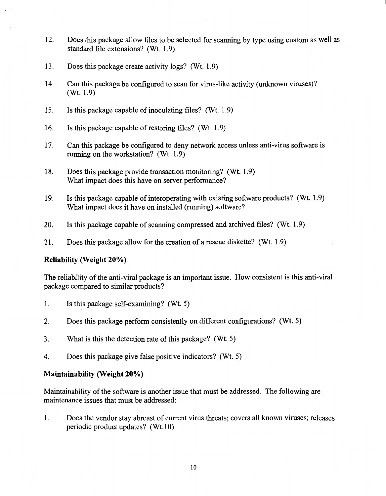- 12. Does this package allow files to be selected for scanning by type using custom as well as standard file extensions? (Wt. 1.9)
- 13. Does this package create activity logs? (Wt. 1.9)
- 14. Can this package be configured to scan for virus-like activity (unknown viruses)? (Wt. 1.9)
- 15. Is this package capable of inoculating files? (Wt. 1.9)
- 16. Is this package capable of restoring files? (Wt. 1.9)
- 17. Can this package be configured to deny network access unless anti-virus software is running on the workstation? (Wt. 1.9)
- 18. Does this package provide transaction monitoring? (Wt. 1.9) What impact does this have on server performance?
- 19. Is this package capable of interoperating with existing software products? (Wt. 1.9) What impact does it have on installed (running) software?
- 20. Is this package capable of scanning compressed and archived files? (Wt. 1.9)
- 21. Does this package allow for the creation of a rescue diskette? (Wt. 1.9)

#### **Reliability (Weight 20%)**

The reliability of the anti-viral package is an important issue. How consistent is this anti-viral package compared to similar products?

- 1. Is this package self-examining? (Wt. *5)*
- **2.** Does this package perform consistently on different configurations? (Wt. *5)*
- **3.** What is this the detection rate of this package? (Wt. *5)*
- 4. Does this package give false positive indicators? (Wt. 5)

#### **Maintainability (Weight 20%)**

Maintainability of the software is another issue that must be addressed. The following are maintenance issues that must be addressed:

1. Does the vendor stay abreast of current virus threats; covers all known viruses; releases periodic product updates? (Wt. 10)